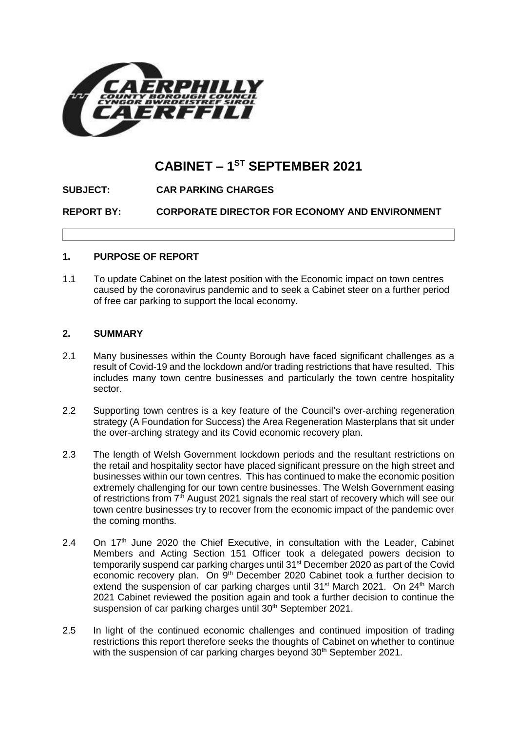

# **CABINET – 1 ST SEPTEMBER 2021**

**SUBJECT: CAR PARKING CHARGES**

**REPORT BY: CORPORATE DIRECTOR FOR ECONOMY AND ENVIRONMENT**

## **1. PURPOSE OF REPORT**

1.1 To update Cabinet on the latest position with the Economic impact on town centres caused by the coronavirus pandemic and to seek a Cabinet steer on a further period of free car parking to support the local economy.

#### **2. SUMMARY**

- 2.1 Many businesses within the County Borough have faced significant challenges as a result of Covid-19 and the lockdown and/or trading restrictions that have resulted. This includes many town centre businesses and particularly the town centre hospitality sector.
- 2.2 Supporting town centres is a key feature of the Council's over-arching regeneration strategy (A Foundation for Success) the Area Regeneration Masterplans that sit under the over-arching strategy and its Covid economic recovery plan.
- 2.3 The length of Welsh Government lockdown periods and the resultant restrictions on the retail and hospitality sector have placed significant pressure on the high street and businesses within our town centres. This has continued to make the economic position extremely challenging for our town centre businesses. The Welsh Government easing of restrictions from  $7<sup>th</sup>$  August 2021 signals the real start of recovery which will see our town centre businesses try to recover from the economic impact of the pandemic over the coming months.
- 2.4 On  $17<sup>th</sup>$  June 2020 the Chief Executive, in consultation with the Leader, Cabinet Members and Acting Section 151 Officer took a delegated powers decision to temporarily suspend car parking charges until 31<sup>st</sup> December 2020 as part of the Covid economic recovery plan. On 9<sup>th</sup> December 2020 Cabinet took a further decision to extend the suspension of car parking charges until 31<sup>st</sup> March 2021. On 24<sup>th</sup> March 2021 Cabinet reviewed the position again and took a further decision to continue the suspension of car parking charges until 30<sup>th</sup> September 2021.
- 2.5 In light of the continued economic challenges and continued imposition of trading restrictions this report therefore seeks the thoughts of Cabinet on whether to continue with the suspension of car parking charges beyond 30<sup>th</sup> September 2021.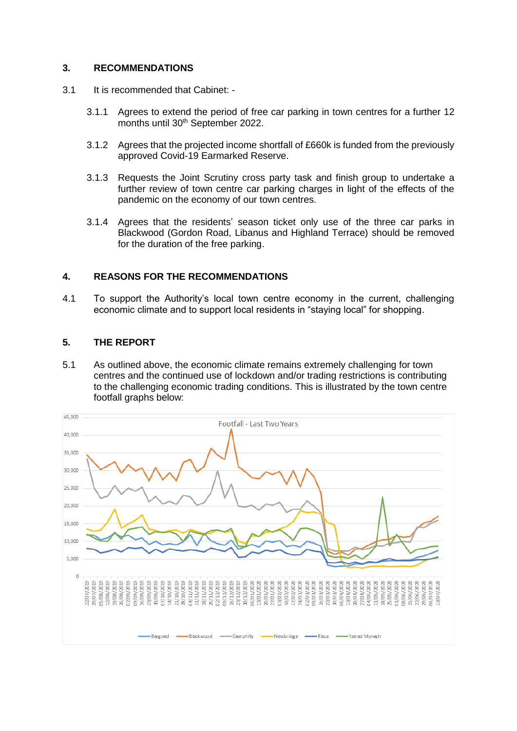## **3. RECOMMENDATIONS**

- 3.1 It is recommended that Cabinet:
	- 3.1.1 Agrees to extend the period of free car parking in town centres for a further 12 months until 30<sup>th</sup> September 2022.
	- 3.1.2 Agrees that the projected income shortfall of £660k is funded from the previously approved Covid-19 Earmarked Reserve.
	- 3.1.3 Requests the Joint Scrutiny cross party task and finish group to undertake a further review of town centre car parking charges in light of the effects of the pandemic on the economy of our town centres.
	- 3.1.4 Agrees that the residents' season ticket only use of the three car parks in Blackwood (Gordon Road, Libanus and Highland Terrace) should be removed for the duration of the free parking.

## **4. REASONS FOR THE RECOMMENDATIONS**

4.1 To support the Authority's local town centre economy in the current, challenging economic climate and to support local residents in "staying local" for shopping.

## **5. THE REPORT**

5.1 As outlined above, the economic climate remains extremely challenging for town centres and the continued use of lockdown and/or trading restrictions is contributing to the challenging economic trading conditions. This is illustrated by the town centre footfall graphs below:

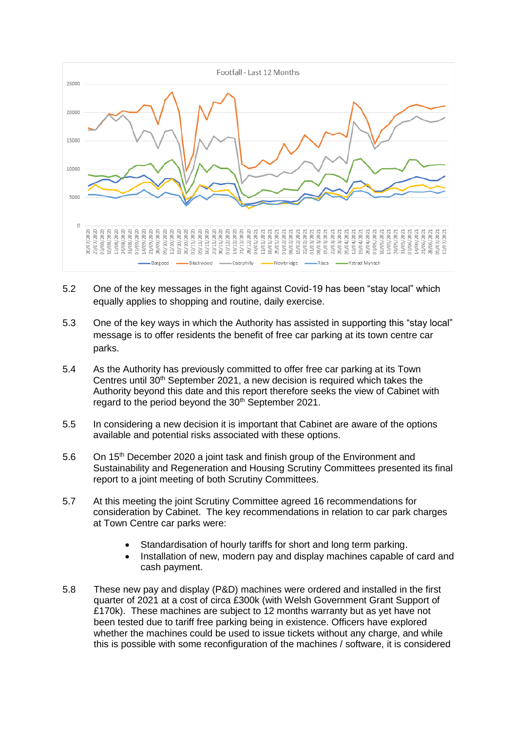

- 5.2 One of the key messages in the fight against Covid-19 has been "stay local" which equally applies to shopping and routine, daily exercise.
- 5.3 One of the key ways in which the Authority has assisted in supporting this "stay local" message is to offer residents the benefit of free car parking at its town centre car parks.
- 5.4 As the Authority has previously committed to offer free car parking at its Town Centres until  $30<sup>th</sup>$  September 2021, a new decision is required which takes the Authority beyond this date and this report therefore seeks the view of Cabinet with regard to the period beyond the 30<sup>th</sup> September 2021.
- 5.5 In considering a new decision it is important that Cabinet are aware of the options available and potential risks associated with these options.
- 5.6 On 15th December 2020 a joint task and finish group of the Environment and Sustainability and Regeneration and Housing Scrutiny Committees presented its final report to a joint meeting of both Scrutiny Committees.
- 5.7 At this meeting the joint Scrutiny Committee agreed 16 recommendations for consideration by Cabinet. The key recommendations in relation to car park charges at Town Centre car parks were:
	- Standardisation of hourly tariffs for short and long term parking.
	- Installation of new, modern pay and display machines capable of card and cash payment.
- 5.8 These new pay and display (P&D) machines were ordered and installed in the first quarter of 2021 at a cost of circa £300k (with Welsh Government Grant Support of £170k). These machines are subject to 12 months warranty but as yet have not been tested due to tariff free parking being in existence. Officers have explored whether the machines could be used to issue tickets without any charge, and while this is possible with some reconfiguration of the machines / software, it is considered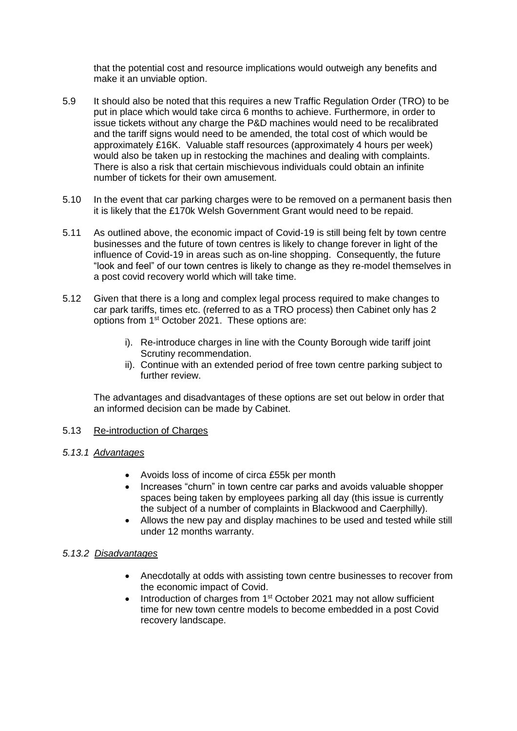that the potential cost and resource implications would outweigh any benefits and make it an unviable option.

- 5.9 It should also be noted that this requires a new Traffic Regulation Order (TRO) to be put in place which would take circa 6 months to achieve. Furthermore, in order to issue tickets without any charge the P&D machines would need to be recalibrated and the tariff signs would need to be amended, the total cost of which would be approximately £16K. Valuable staff resources (approximately 4 hours per week) would also be taken up in restocking the machines and dealing with complaints. There is also a risk that certain mischievous individuals could obtain an infinite number of tickets for their own amusement.
- 5.10 In the event that car parking charges were to be removed on a permanent basis then it is likely that the £170k Welsh Government Grant would need to be repaid.
- 5.11 As outlined above, the economic impact of Covid-19 is still being felt by town centre businesses and the future of town centres is likely to change forever in light of the influence of Covid-19 in areas such as on-line shopping. Consequently, the future "look and feel" of our town centres is likely to change as they re-model themselves in a post covid recovery world which will take time.
- 5.12 Given that there is a long and complex legal process required to make changes to car park tariffs, times etc. (referred to as a TRO process) then Cabinet only has 2 options from 1st October 2021. These options are:
	- i). Re-introduce charges in line with the County Borough wide tariff joint Scrutiny recommendation.
	- ii). Continue with an extended period of free town centre parking subject to further review.

The advantages and disadvantages of these options are set out below in order that an informed decision can be made by Cabinet.

#### 5.13 Re-introduction of Charges

- *5.13.1 Advantages*
	- Avoids loss of income of circa £55k per month
	- Increases "churn" in town centre car parks and avoids valuable shopper spaces being taken by employees parking all day (this issue is currently the subject of a number of complaints in Blackwood and Caerphilly).
	- Allows the new pay and display machines to be used and tested while still under 12 months warranty.

#### *5.13.2 Disadvantages*

- Anecdotally at odds with assisting town centre businesses to recover from the economic impact of Covid.
- Introduction of charges from 1st October 2021 may not allow sufficient time for new town centre models to become embedded in a post Covid recovery landscape.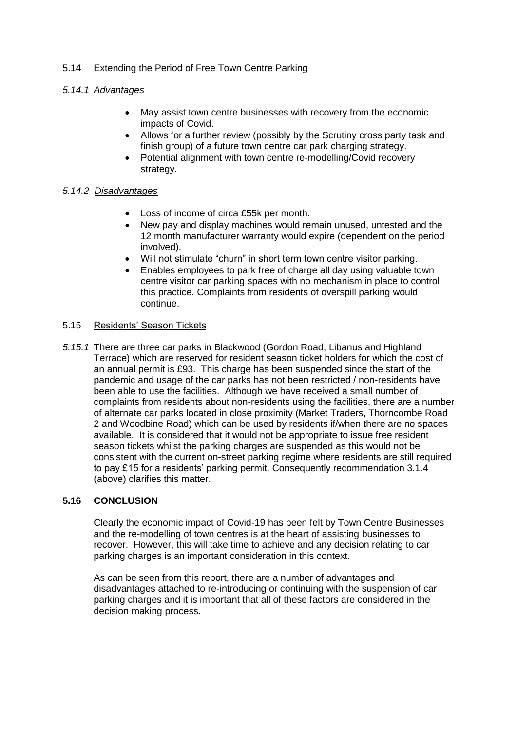## 5.14 Extending the Period of Free Town Centre Parking

## *5.14.1 Advantages*

- May assist town centre businesses with recovery from the economic impacts of Covid.
- Allows for a further review (possibly by the Scrutiny cross party task and finish group) of a future town centre car park charging strategy.
- Potential alignment with town centre re-modelling/Covid recovery strategy.

#### *5.14.2 Disadvantages*

- Loss of income of circa £55k per month.
- New pay and display machines would remain unused, untested and the 12 month manufacturer warranty would expire (dependent on the period involved).
- Will not stimulate "churn" in short term town centre visitor parking.
- Enables employees to park free of charge all day using valuable town centre visitor car parking spaces with no mechanism in place to control this practice. Complaints from residents of overspill parking would continue.

## 5.15 Residents' Season Tickets

*5.15.1* There are three car parks in Blackwood (Gordon Road, Libanus and Highland Terrace) which are reserved for resident season ticket holders for which the cost of an annual permit is £93. This charge has been suspended since the start of the pandemic and usage of the car parks has not been restricted / non-residents have been able to use the facilities. Although we have received a small number of complaints from residents about non-residents using the facilities, there are a number of alternate car parks located in close proximity (Market Traders, Thorncombe Road 2 and Woodbine Road) which can be used by residents if/when there are no spaces available. It is considered that it would not be appropriate to issue free resident season tickets whilst the parking charges are suspended as this would not be consistent with the current on-street parking regime where residents are still required to pay £15 for a residents' parking permit. Consequently recommendation 3.1.4 (above) clarifies this matter.

# **5.16 CONCLUSION**

Clearly the economic impact of Covid-19 has been felt by Town Centre Businesses and the re-modelling of town centres is at the heart of assisting businesses to recover. However, this will take time to achieve and any decision relating to car parking charges is an important consideration in this context.

As can be seen from this report, there are a number of advantages and disadvantages attached to re-introducing or continuing with the suspension of car parking charges and it is important that all of these factors are considered in the decision making process.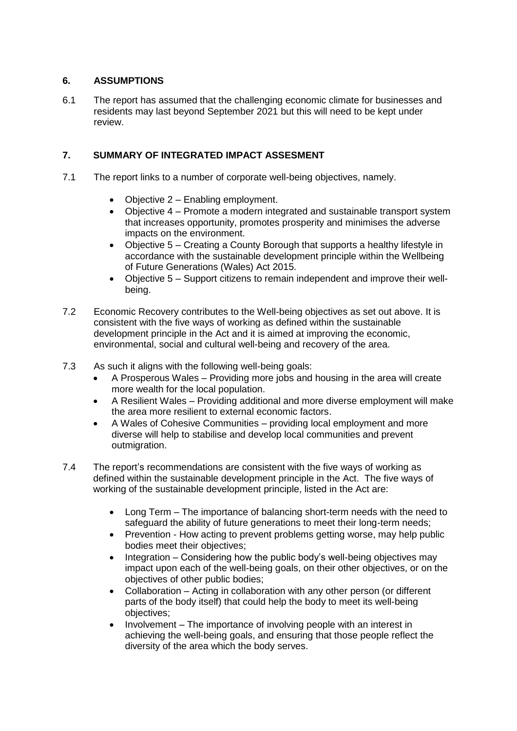## **6. ASSUMPTIONS**

6.1 The report has assumed that the challenging economic climate for businesses and residents may last beyond September 2021 but this will need to be kept under review.

## **7. SUMMARY OF INTEGRATED IMPACT ASSESMENT**

- 7.1 The report links to a number of corporate well-being objectives, namely.
	- Objective 2 Enabling employment.
	- Objective 4 Promote a modern integrated and sustainable transport system that increases opportunity, promotes prosperity and minimises the adverse impacts on the environment.
	- Objective 5 Creating a County Borough that supports a healthy lifestyle in accordance with the sustainable development principle within the Wellbeing of Future Generations (Wales) Act 2015.
	- Objective 5 Support citizens to remain independent and improve their wellbeing.
- 7.2 Economic Recovery contributes to the Well-being objectives as set out above. It is consistent with the five ways of working as defined within the sustainable development principle in the Act and it is aimed at improving the economic, environmental, social and cultural well-being and recovery of the area.
- 7.3 As such it aligns with the following well-being goals:
	- A Prosperous Wales Providing more jobs and housing in the area will create more wealth for the local population.
	- A Resilient Wales Providing additional and more diverse employment will make the area more resilient to external economic factors.
	- A Wales of Cohesive Communities providing local employment and more diverse will help to stabilise and develop local communities and prevent outmigration.
- 7.4 The report's recommendations are consistent with the five ways of working as defined within the sustainable development principle in the Act. The five ways of working of the sustainable development principle, listed in the Act are:
	- Long Term The importance of balancing short-term needs with the need to safeguard the ability of future generations to meet their long-term needs;
	- Prevention How acting to prevent problems getting worse, may help public bodies meet their objectives;
	- $\bullet$  Integration Considering how the public body's well-being objectives may impact upon each of the well-being goals, on their other objectives, or on the objectives of other public bodies;
	- Collaboration Acting in collaboration with any other person (or different parts of the body itself) that could help the body to meet its well-being objectives;
	- Involvement The importance of involving people with an interest in achieving the well-being goals, and ensuring that those people reflect the diversity of the area which the body serves.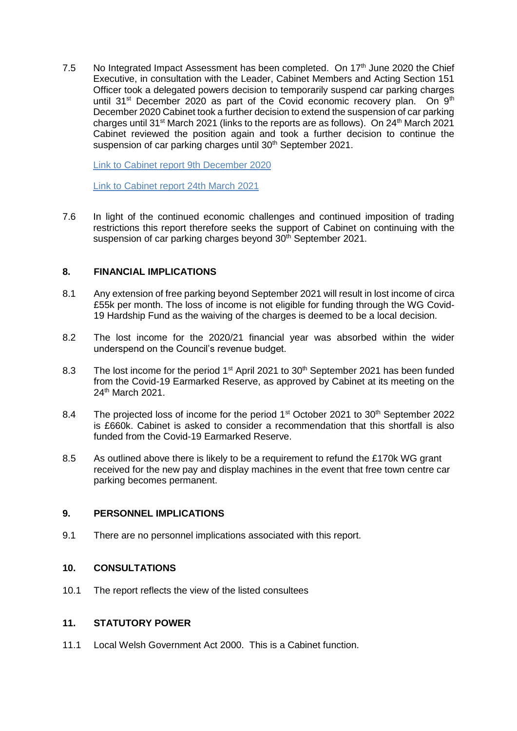7.5 No Integrated Impact Assessment has been completed. On 17<sup>th</sup> June 2020 the Chief Executive, in consultation with the Leader, Cabinet Members and Acting Section 151 Officer took a delegated powers decision to temporarily suspend car parking charges until  $31^{st}$  December 2020 as part of the Covid economic recovery plan. On  $9^{th}$ December 2020 Cabinet took a further decision to extend the suspension of car parking charges until 31<sup>st</sup> March 2021 (links to the reports are as follows). On 24<sup>th</sup> March 2021 Cabinet reviewed the position again and took a further decision to continue the suspension of car parking charges until 30<sup>th</sup> September 2021.

[Link to Cabinet report 9th December 2020](https://sc-aptdmod2.corporate.group.local/documents/s33752/Car%20Parking%20Charges.pdf)

[Link to Cabinet report 24th March 2021](https://scaptdmod2.corporate.group.local/documents/s34824/Car%20Parking%20Charges.pdf)

7.6 In light of the continued economic challenges and continued imposition of trading restrictions this report therefore seeks the support of Cabinet on continuing with the suspension of car parking charges beyond 30<sup>th</sup> September 2021.

#### **8. FINANCIAL IMPLICATIONS**

- 8.1 Any extension of free parking beyond September 2021 will result in lost income of circa £55k per month. The loss of income is not eligible for funding through the WG Covid-19 Hardship Fund as the waiving of the charges is deemed to be a local decision.
- 8.2 The lost income for the 2020/21 financial year was absorbed within the wider underspend on the Council's revenue budget.
- 8.3 The lost income for the period 1<sup>st</sup> April 2021 to 30<sup>th</sup> September 2021 has been funded from the Covid-19 Earmarked Reserve, as approved by Cabinet at its meeting on the 24th March 2021.
- 8.4 The projected loss of income for the period 1<sup>st</sup> October 2021 to 30<sup>th</sup> September 2022 is £660k. Cabinet is asked to consider a recommendation that this shortfall is also funded from the Covid-19 Earmarked Reserve.
- 8.5 As outlined above there is likely to be a requirement to refund the £170k WG grant received for the new pay and display machines in the event that free town centre car parking becomes permanent.

#### **9. PERSONNEL IMPLICATIONS**

9.1 There are no personnel implications associated with this report.

#### **10. CONSULTATIONS**

10.1 The report reflects the view of the listed consultees

#### **11. STATUTORY POWER**

11.1 Local Welsh Government Act 2000. This is a Cabinet function.